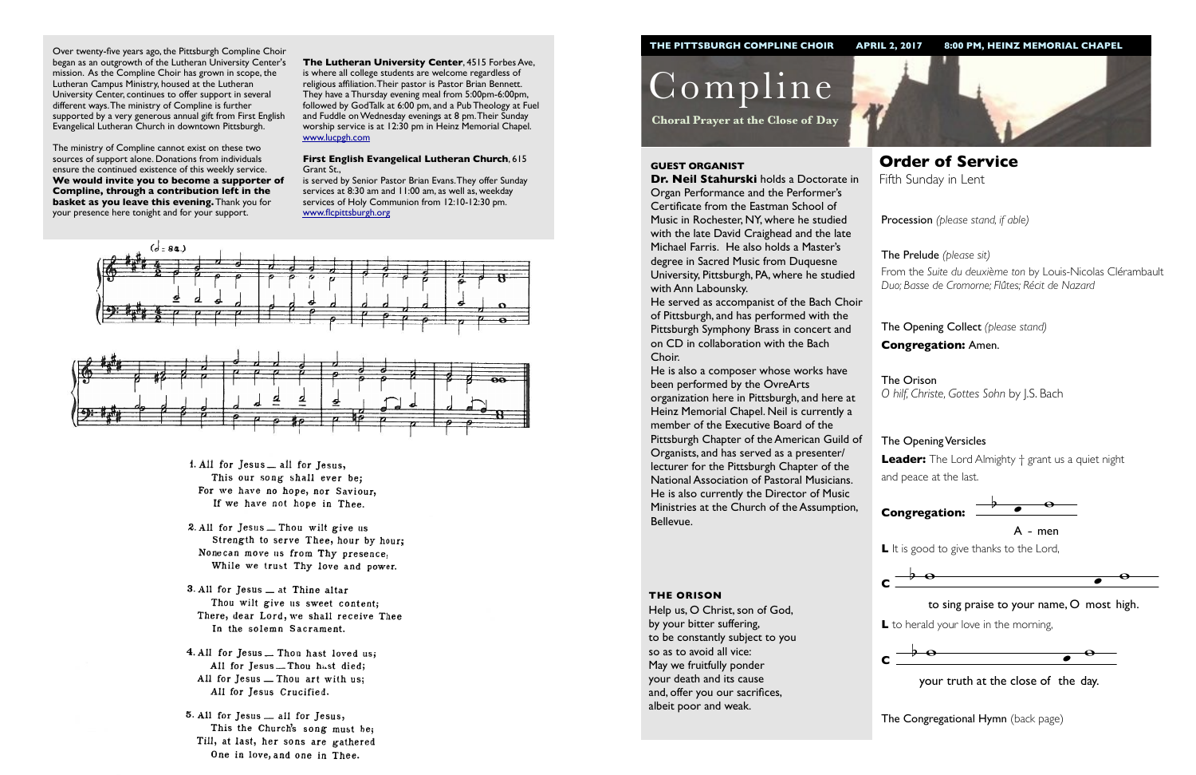Procession *(please stand, if able)*

The Opening Collect *(please stand)* **Congregation:** Amen.

## The Opening Versicles

**Leader:** The Lord Almighty † grant us a quiet night and peace at the last.



**L** to herald your love in the morning,

Compline

**Choral Prayer at the Close of Day**

**Order of Service**  Fifth Sunday in Lent

#### **GUEST ORGANIST**

**Dr. Neil Stahurski** holds a Doctorate in Organ Performance and the Performer's Certificate from the Eastman School of Music in Rochester, NY, where he studied with the late David Craighead and the late Michael Farris. He also holds a Master's degree in Sacred Music from Duquesne University, Pittsburgh, PA, where he studied with Ann Labounsky.

The Prelude *(please sit)* From the *Suite du deuxième ton* by Louis-Nicolas Clérambault *Duo; Basse de Cromorne; Flûtes; Récit de Nazard*

He served as accompanist of the Bach Choir of Pittsburgh, and has performed with the Pittsburgh Symphony Brass in concert and on CD in collaboration with the Bach Choir.

> The Orison *O hilf, Christe, Gottes Sohn* by J.S. Bach

He is also a composer whose works have been performed by the OvreArts organization here in Pittsburgh, and here at Heinz Memorial Chapel. Neil is currently a member of the Executive Board of the Pittsburgh Chapter of the American Guild of Organists, and has served as a presenter/ lecturer for the Pittsburgh Chapter of the National Association of Pastoral Musicians. He is also currently the Director of Music Ministries at the Church of the Assumption, Bellevue.





 $\frac{1}{2}$  your truth at the close of the day.

**The Congregational Hymn** (back page)



#### **THE ORISON**

Help us, O Christ, son of God, by your bitter suffering, to be constantly subject to you so as to avoid all vice: May we fruitfully ponder your death and its cause and, offer you our sacrifices, albeit poor and weak.

Over twenty-five years ago, the Pittsburgh Compline Choir began as an outgrowth of the Lutheran University Center's mission. As the Compline Choir has grown in scope, the Lutheran Campus Ministry, housed at the Lutheran University Center, continues to offer support in several different ways. The ministry of Compline is further supported by a very generous annual gift from First English Evangelical Lutheran Church in downtown Pittsburgh.

The ministry of Compline cannot exist on these two sources of support alone. Donations from individuals ensure the continued existence of this weekly service. **We would invite you to become a supporter of Compline, through a contribution left in the basket as you leave this evening.** Thank you for your presence here tonight and for your support.



L It is good to give thanks to the Lord,



**The Lutheran University Center**, 4515 Forbes Ave, is where all college students are welcome regardless of religious affiliation. Their pastor is Pastor Brian Bennett. They have a Thursday evening meal from 5:00pm-6:00pm, followed by GodTalk at 6:00 pm, and a Pub Theology at Fuel and Fuddle on Wednesday evenings at 8 pm. Their Sunday worship service is at 12:30 pm in Heinz Memorial Chapel. [www.lucpgh.com](http://www.lucpgh.com)

#### **First English Evangelical Lutheran Church**, 615 Grant St.,

is served by Senior Pastor Brian Evans. They offer Sunday services at 8:30 am and 11:00 am, as well as, weekday services of Holy Communion from 12:10-12:30 pm. [www.flcpittsburgh.org](http://www.flcpittsburgh.org)





- 1. All for Jesus \_ all for Jesus, This our song shall ever be; For we have no hope, nor Saviour, If we have not hope in Thee.
- 2. All for Jesus Thou wilt give us Strength to serve Thee, hour by hour; Nonecan move us from Thy presence, While we trust Thy love and power.
- 3. All for Jesus \_ at Thine altar Thou wilt give us sweet content; There, dear Lord, we shall receive Thee In the solemn Sacrament.
- 4. All for Jesus ... Thou hast loved us; All for Jesus .... Thou hast died; All for Jesus - Thou art with us; All for Jesus Crucified.
- 5. All for Jesus all for Jesus, This the Church's song must be; Till, at last, her sons are gathered One in love, and one in Thee.